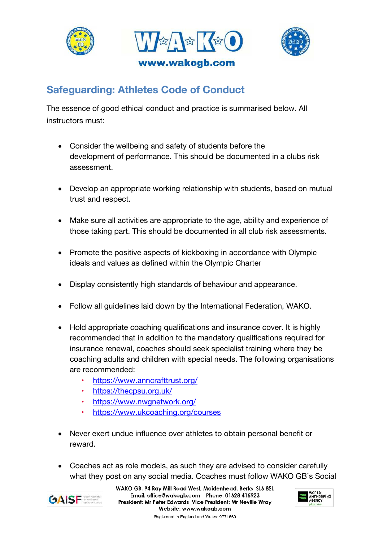





## **Safeguarding: Athletes Code of Conduct**

The essence of good ethical conduct and practice is summarised below. All instructors must:

- Consider the wellbeing and safety of students before the development of performance. This should be documented in a clubs risk assessment.
- Develop an appropriate working relationship with students, based on mutual trust and respect.
- Make sure all activities are appropriate to the age, ability and experience of those taking part. This should be documented in all club risk assessments.
- Promote the positive aspects of kickboxing in accordance with Olympic ideals and values as defined within the Olympic Charter
- Display consistently high standards of behaviour and appearance.
- Follow all guidelines laid down by the International Federation, WAKO.
- Hold appropriate coaching qualifications and insurance cover. It is highly recommended that in addition to the mandatory qualifications required for insurance renewal, coaches should seek specialist training where they be coaching adults and children with special needs. The following organisations are recommended:
	- •https://www.anncrafttrust.org/
	- •https://thecpsu.org.uk/
	- •https://www.nwgnetwork.org/
	- •https://www.ukcoaching.org/courses
- Never exert undue influence over athletes to obtain personal benefit or reward.
- Coaches act as role models, as such they are advised to consider carefully what they post on any social media. Coaches must follow WAKO GB's Social



WAKO GB. 94 Ray Mill Road West, Maidenhead, Berks SL6 8SL Email: office@wakogb.com Phone: 01628 415923 President: Mr Peter Edwards Vice President: Mr Neville Wray Website: www.wakogb.com